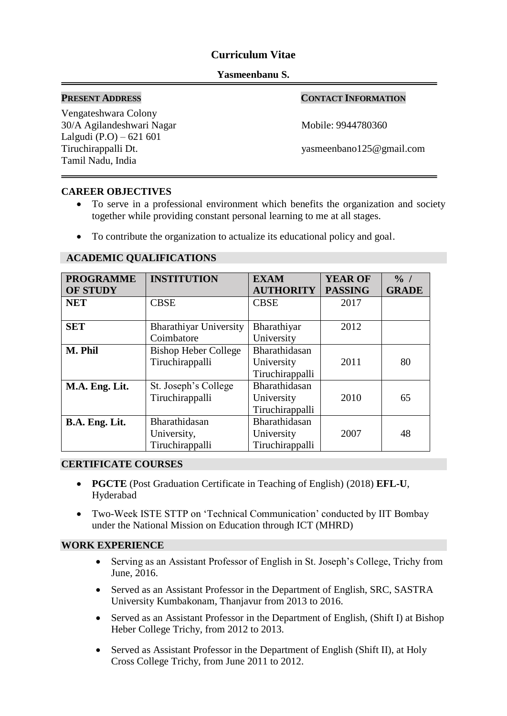# **Curriculum Vitae**

### **Yasmeenbanu S.**

 $\overline{a}$ 

## **PRESENT ADDRESS CONTACT INFORMATION**

Vengateshwara Colony 30/A Agilandeshwari Nagar Mobile: 9944780360 Lalgudi (P.O) – 621 601 Tamil Nadu, India

Tiruchirappalli Dt. yasmeenbano125@gmail.com

## **CAREER OBJECTIVES**

- To serve in a professional environment which benefits the organization and society together while providing constant personal learning to me at all stages.
- To contribute the organization to actualize its educational policy and goal.

| <b>PROGRAMME</b>                | <b>INSTITUTION</b>            | <b>EXAM</b>      | <b>YEAR OF</b> | $\frac{0}{0}$ / |
|---------------------------------|-------------------------------|------------------|----------------|-----------------|
| <b>OF STUDY</b>                 |                               | <b>AUTHORITY</b> | <b>PASSING</b> | <b>GRADE</b>    |
| <b>NET</b>                      | <b>CBSE</b>                   | <b>CBSE</b>      | 2017           |                 |
|                                 |                               |                  |                |                 |
| <b>SET</b>                      | <b>Bharathiyar University</b> | Bharathiyar      | 2012           |                 |
|                                 | Coimbatore                    | University       |                |                 |
| M. Phil                         | <b>Bishop Heber College</b>   | Bharathidasan    |                |                 |
|                                 | Tiruchirappalli               | University       | 2011           | 80              |
|                                 |                               | Tiruchirappalli  |                |                 |
| M.A. Eng. Lit.                  | St. Joseph's College          | Bharathidasan    |                |                 |
|                                 | Tiruchirappalli               | University       | 2010           | 65              |
|                                 |                               | Tiruchirappalli  |                |                 |
| Bharathidasan<br>B.A. Eng. Lit. |                               | Bharathidasan    |                |                 |
|                                 | University,                   | University       | 2007           | 48              |
|                                 | Tiruchirappalli               | Tiruchirappalli  |                |                 |

## **ACADEMIC QUALIFICATIONS**

### **CERTIFICATE COURSES**

- **PGCTE** (Post Graduation Certificate in Teaching of English) (2018) **EFL-U**, Hyderabad
- Two-Week ISTE STTP on 'Technical Communication' conducted by IIT Bombay under the National Mission on Education through ICT (MHRD)

### **WORK EXPERIENCE**

- Serving as an Assistant Professor of English in St. Joseph's College, Trichy from June, 2016.
- Served as an Assistant Professor in the Department of English, SRC, SASTRA University Kumbakonam, Thanjavur from 2013 to 2016.
- Served as an Assistant Professor in the Department of English, (Shift I) at Bishop Heber College Trichy, from 2012 to 2013.
- Served as Assistant Professor in the Department of English (Shift II), at Holy Cross College Trichy, from June 2011 to 2012.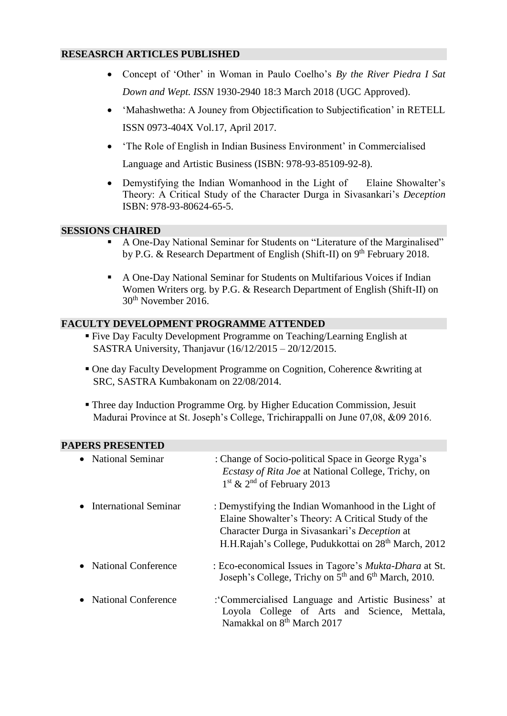## **RESEASRCH ARTICLES PUBLISHED**

- Concept of 'Other' in Woman in Paulo Coelho's *By the River Piedra I Sat Down and Wept. ISSN* 1930-2940 18:3 March 2018 (UGC Approved).
- 'Mahashwetha: A Jouney from Objectification to Subjectification' in RETELL ISSN 0973-404X Vol.17, April 2017.
- 'The Role of English in Indian Business Environment' in Commercialised Language and Artistic Business (ISBN: 978-93-85109-92-8).
- Demystifying the Indian Womanhood in the Light of Elaine Showalter's Theory: A Critical Study of the Character Durga in Sivasankari's *Deception* ISBN: 978-93-80624-65-5.

## **SESSIONS CHAIRED**

- A One-Day National Seminar for Students on "Literature of the Marginalised" by P.G. & Research Department of English (Shift-II) on  $9<sup>th</sup>$  February 2018.
- A One-Day National Seminar for Students on Multifarious Voices if Indian Women Writers org. by P.G. & Research Department of English (Shift-II) on 30th November 2016.

# **FACULTY DEVELOPMENT PROGRAMME ATTENDED**

- Five Day Faculty Development Programme on Teaching/Learning English at SASTRA University, Thanjavur (16/12/2015 – 20/12/2015.
- One day Faculty Development Programme on Cognition, Coherence &writing at SRC, SASTRA Kumbakonam on 22/08/2014.
- Three day Induction Programme Org. by Higher Education Commission, Jesuit Madurai Province at St. Joseph's College, Trichirappalli on June 07,08, &09 2016.

| AI LIND I INLDLIN I LI <i>V</i> |                                                                                                                                                                                                                                |
|---------------------------------|--------------------------------------------------------------------------------------------------------------------------------------------------------------------------------------------------------------------------------|
| • National Seminar              | : Change of Socio-political Space in George Ryga's<br><i>Ecstasy of Rita Joe</i> at National College, Trichy, on<br>$1st$ & $2nd$ of February 2013                                                                             |
| International Seminar           | : Demystifying the Indian Womanhood in the Light of<br>Elaine Showalter's Theory: A Critical Study of the<br>Character Durga in Sivasankari's Deception at<br>H.H.Rajah's College, Pudukkottai on 28 <sup>th</sup> March, 2012 |
| • National Conference           | : Eco-economical Issues in Tagore's <i>Mukta-Dhara</i> at St.<br>Joseph's College, Trichy on 5 <sup>th</sup> and 6 <sup>th</sup> March, 2010.                                                                                  |
| <b>National Conference</b>      | :'Commercialised Language and Artistic Business' at<br>Loyola College of Arts and Science, Mettala,<br>Namakkal on 8 <sup>th</sup> March 2017                                                                                  |

## **PAPERS PRESENTED**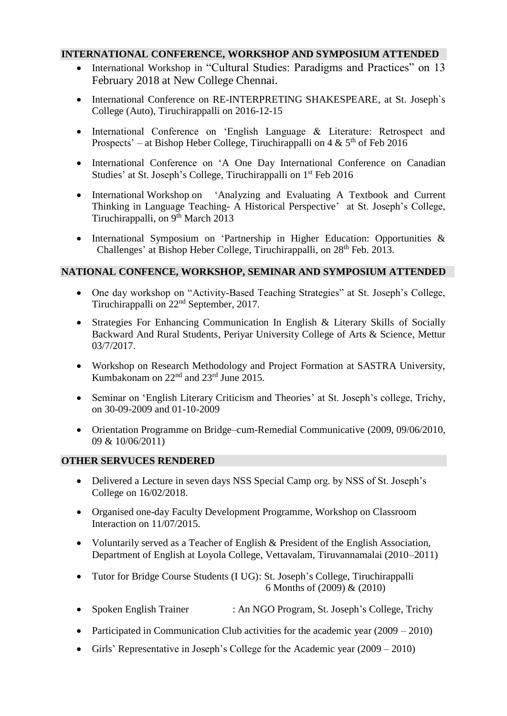# **INTERNATIONAL CONFERENCE, WORKSHOP AND SYMPOSIUM ATTENDED**

- International Workshop in "Cultural Studies: Paradigms and Practices" on 13 February 2018 at New College Chennai.
- International Conference on RE-INTERPRETING SHAKESPEARE, at St. Joseph's College (Auto), Tiruchirappalli on 2016-12-15
- International Conference on 'English Language & Literature: Retrospect and Prospects' – at Bishop Heber College, Tiruchirappalli on  $4 \& 5<sup>th</sup>$  of Feb 2016
- International Conference on 'A One Day International Conference on Canadian Studies' at St. Joseph's College, Tiruchirappalli on 1<sup>st</sup> Feb 2016
- International Workshop on 'Analyzing and Evaluating A Textbook and Current Thinking in Language Teaching- A Historical Perspective' at St. Joseph's College, Tiruchirappalli, on 9<sup>th</sup> March 2013
- International Symposium on 'Partnership in Higher Education: Opportunities & Challenges' at Bishop Heber College, Tiruchirappalli, on 28<sup>th</sup> Feb. 2013.

# **NATIONAL CONFENCE, WORKSHOP, SEMINAR AND SYMPOSIUM ATTENDED**

- One day workshop on "Activity-Based Teaching Strategies" at St. Joseph's College, Tiruchirappalli on 22nd September, 2017.
- Strategies For Enhancing Communication In English & Literary Skills of Socially Backward And Rural Students, Periyar University College of Arts & Science, Mettur 03/7/2017.
- Workshop on Research Methodology and Project Formation at SASTRA University, Kumbakonam on 22nd and 23rd June 2015.
- Seminar on 'English Literary Criticism and Theories' at St. Joseph's college, Trichy, on 30-09-2009 and 01-10-2009
- Orientation Programme on Bridge–cum-Remedial Communicative (2009, 09/06/2010, 09 & 10/06/2011)

## **OTHER SERVUCES RENDERED**

- Delivered a Lecture in seven days NSS Special Camp org. by NSS of St. Joseph's College on 16/02/2018.
- Organised one-day Faculty Development Programme, Workshop on Classroom Interaction on 11/07/2015.
- Voluntarily served as a Teacher of English & President of the English Association, Department of English at Loyola College, Vettavalam, Tiruvannamalai (2010–2011)
- Tutor for Bridge Course Students (I UG): St. Joseph's College, Tiruchirappalli 6 Months of (2009) & (2010)
- Spoken English Trainer : An NGO Program, St. Joseph's College, Trichy
- Participated in Communication Club activities for the academic year  $(2009 2010)$
- Girls' Representative in Joseph's College for the Academic year (2009 2010)